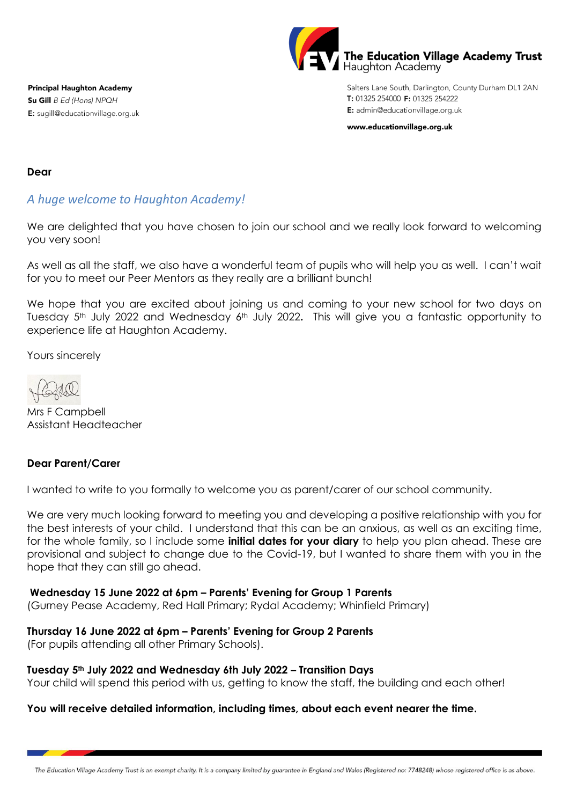

Salters Lane South, Darlington, County Durham DL1 2AN T: 01325 254000 F: 01325 254222 E: admin@educationvillage.org.uk

www.educationvillage.org.uk

**Principal Haughton Academy** Su Gill B Ed (Hons) NPQH E: sugill@educationvillage.org.uk

### **Dear**

# *A huge welcome to Haughton Academy!*

We are delighted that you have chosen to join our school and we really look forward to welcoming you very soon!

As well as all the staff, we also have a wonderful team of pupils who will help you as well. I can't wait for you to meet our Peer Mentors as they really are a brilliant bunch!

We hope that you are excited about joining us and coming to your new school for two days on Tuesday 5<sup>th</sup> July 2022 and Wednesday 6<sup>th</sup> July 2022. This will give you a fantastic opportunity to experience life at Haughton Academy.

Yours sincerely

Mrs F Campbell Assistant Headteacher

## **Dear Parent/Carer**

I wanted to write to you formally to welcome you as parent/carer of our school community.

We are very much looking forward to meeting you and developing a positive relationship with you for the best interests of your child. I understand that this can be an anxious, as well as an exciting time, for the whole family, so I include some **initial dates for your diary** to help you plan ahead. These are provisional and subject to change due to the Covid-19, but I wanted to share them with you in the hope that they can still go ahead.

### **Wednesday 15 June 2022 at 6pm – Parents' Evening for Group 1 Parents**

(Gurney Pease Academy, Red Hall Primary; Rydal Academy; Whinfield Primary)

## **Thursday 16 June 2022 at 6pm – Parents' Evening for Group 2 Parents**

(For pupils attending all other Primary Schools).

### **Tuesday 5th July 2022 and Wednesday 6th July 2022 – Transition Days**

Your child will spend this period with us, getting to know the staff, the building and each other!

## **You will receive detailed information, including times, about each event nearer the time.**